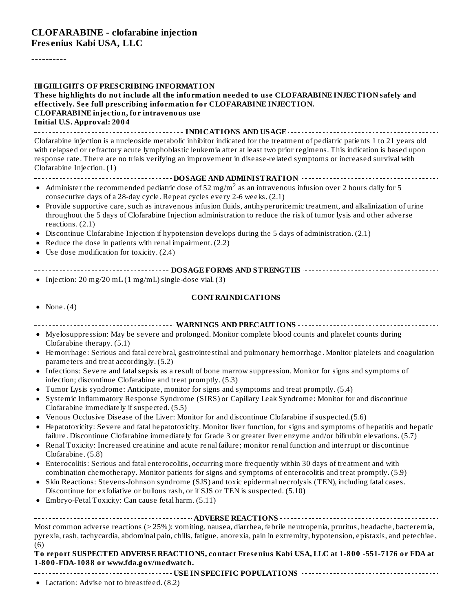#### **CLOFARABINE - clofarabine injection Fres enius Kabi USA, LLC**

----------

**HIGHLIGHTS OF PRESCRIBING INFORMATION These highlights do not include all the information needed to use CLOFARABINE INJECTION safely and effectively. See full prescribing information for CLOFARABINE INJECTION. CLOFARABINE injection, for intravenous use Initial U.S. Approval: 2004 INDICATIONS AND USAGE** Clofarabine injection is a nucleoside metabolic inhibitor indicated for the treatment of pediatric patients 1 to 21 years old with relapsed or refractory acute lymphoblastic leukemia after at least two prior regimens. This indication is based upon response rate. There are no trials verifying an improvement in disease-related symptoms or increased survival with Clofarabine Injection. (1) **DOSAGE AND ADMINISTRATION** Administer the recommended pediatric dose of 52 mg/m $^2$  as an intravenous infusion over 2 hours daily for 5 consecutive days of a 28-day cycle. Repeat cycles every 2-6 weeks. (2.1) Provide supportive care, such as intravenous infusion fluids, antihyperuricemic treatment, and alkalinization of urine throughout the 5 days of Clofarabine Injection administration to reduce the risk of tumor lysis and other adverse reactions. (2.1) Discontinue Clofarabine Injection if hypotension develops during the 5 days of administration. (2.1) Reduce the dose in patients with renal impairment. (2.2) Use dose modification for toxicity. (2.4) **DOSAGE FORMS AND STRENGTHS** • Injection: 20 mg/20 mL (1 mg/mL) single-dose vial. (3) **CONTRAINDICATIONS** • None.  $(4)$ **WARNINGS AND PRECAUTIONS** Myelosuppression: May be severe and prolonged. Monitor complete blood counts and platelet counts during Clofarabine therapy. (5.1) Hemorrhage: Serious and fatal cerebral, gastrointestinal and pulmonary hemorrhage. Monitor platelets and coagulation  $\bullet$ parameters and treat accordingly. (5.2) Infections: Severe and fatalsepsis as a result of bone marrow suppression. Monitor for signs and symptoms of  $\bullet$ infection; discontinue Clofarabine and treat promptly. (5.3) Tumor Lysis syndrome: Anticipate, monitor for signs and symptoms and treat promptly. (5.4)  $\bullet$ Systemic Inflammatory Response Syndrome (SIRS) or Capillary Leak Syndrome: Monitor for and discontinue  $\bullet$ Clofarabine immediately if suspected. (5.5) Venous Occlusive Disease of the Liver: Monitor for and discontinue Clofarabine if suspected.(5.6) Hepatotoxicity: Severe and fatal hepatotoxicity. Monitor liver function, for signs and symptoms of hepatitis and hepatic  $\bullet$ failure. Discontinue Clofarabine immediately for Grade 3 or greater liver enzyme and/or bilirubin elevations. (5.7) Renal Toxicity: Increased creatinine and acute renal failure; monitor renal function and interrupt or discontinue  $\bullet$ Clofarabine. (5.8) Enterocolitis: Serious and fatal enterocolitis, occurring more frequently within 30 days of treatment and with  $\bullet$ combination chemotherapy. Monitor patients for signs and symptoms of enterocolitis and treat promptly. (5.9) Skin Reactions: Stevens-Johnson syndrome (SJS) and toxic epidermal necrolysis (TEN), including fatal cases.  $\bullet$ Discontinue for exfoliative or bullous rash, or if SJS or TEN is suspected. (5.10) Embryo-Fetal Toxicity: Can cause fetal harm. (5.11) **ADVERSE REACTIONS** Most common adverse reactions (≥ 25%): vomiting, nausea, diarrhea, febrile neutropenia, pruritus, headache, bacteremia, pyrexia, rash, tachycardia, abdominal pain, chills, fatigue, anorexia, pain in extremity, hypotension, epistaxis, and petechiae. (6) **To report SUSPECTED ADVERSE REACTIONS, contact Fresenius Kabi USA, LLC at 1-800 -551-7176 or FDA at**

# **1-800-FDA-1088 or www.fda.gov/medwatch.**

**USE IN SPECIFIC POPULATIONS**

Lactation: Advise not to breastfeed. (8.2)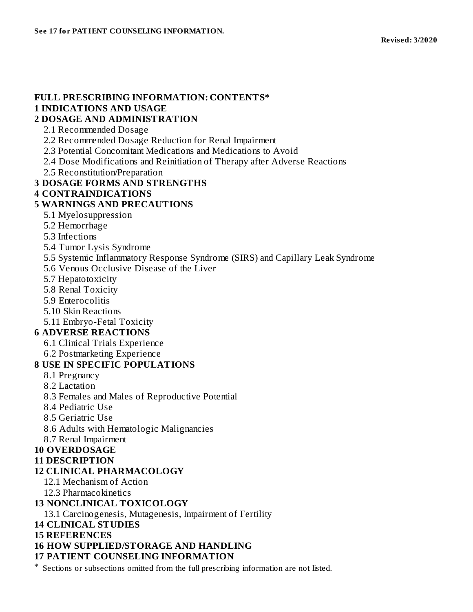## **FULL PRESCRIBING INFORMATION: CONTENTS\***

### **1 INDICATIONS AND USAGE**

#### **2 DOSAGE AND ADMINISTRATION**

- 2.1 Recommended Dosage
- 2.2 Recommended Dosage Reduction for Renal Impairment
- 2.3 Potential Concomitant Medications and Medications to Avoid
- 2.4 Dose Modifications and Reinitiation of Therapy after Adverse Reactions
- 2.5 Reconstitution/Preparation

#### **3 DOSAGE FORMS AND STRENGTHS**

#### **4 CONTRAINDICATIONS**

#### **5 WARNINGS AND PRECAUTIONS**

- 5.1 Myelosuppression
- 5.2 Hemorrhage
- 5.3 Infections
- 5.4 Tumor Lysis Syndrome
- 5.5 Systemic Inflammatory Response Syndrome (SIRS) and Capillary Leak Syndrome
- 5.6 Venous Occlusive Disease of the Liver
- 5.7 Hepatotoxicity
- 5.8 Renal Toxicity
- 5.9 Enterocolitis
- 5.10 Skin Reactions
- 5.11 Embryo-Fetal Toxicity

#### **6 ADVERSE REACTIONS**

- 6.1 Clinical Trials Experience
- 6.2 Postmarketing Experience

#### **8 USE IN SPECIFIC POPULATIONS**

- 8.1 Pregnancy
- 8.2 Lactation
- 8.3 Females and Males of Reproductive Potential
- 8.4 Pediatric Use
- 8.5 Geriatric Use
- 8.6 Adults with Hematologic Malignancies
- 8.7 Renal Impairment

#### **10 OVERDOSAGE**

#### **11 DESCRIPTION**

#### **12 CLINICAL PHARMACOLOGY**

- 12.1 Mechanism of Action
- 12.3 Pharmacokinetics

#### **13 NONCLINICAL TOXICOLOGY**

13.1 Carcinogenesis, Mutagenesis, Impairment of Fertility

#### **14 CLINICAL STUDIES**

**15 REFERENCES**

#### **16 HOW SUPPLIED/STORAGE AND HANDLING**

#### **17 PATIENT COUNSELING INFORMATION**

\* Sections or subsections omitted from the full prescribing information are not listed.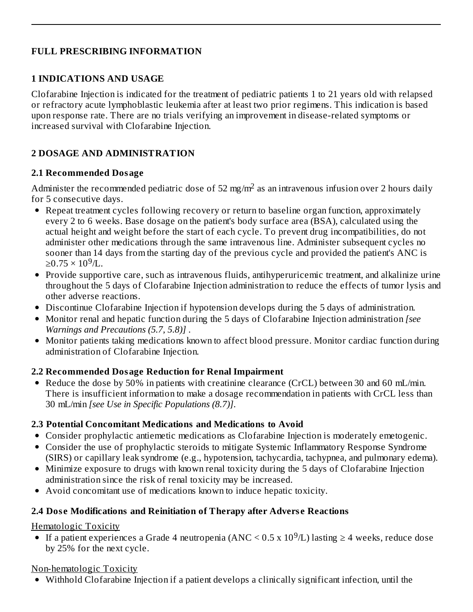## **FULL PRESCRIBING INFORMATION**

### **1 INDICATIONS AND USAGE**

Clofarabine Injection is indicated for the treatment of pediatric patients 1 to 21 years old with relapsed or refractory acute lymphoblastic leukemia after at least two prior regimens. This indication is based upon response rate. There are no trials verifying an improvement in disease-related symptoms or increased survival with Clofarabine Injection.

## **2 DOSAGE AND ADMINISTRATION**

### **2.1 Recommended Dosage**

Administer the recommended pediatric dose of 52 mg/m<sup>2</sup> as an intravenous infusion over 2 hours daily for 5 consecutive days.

- Repeat treatment cycles following recovery or return to baseline organ function, approximately every 2 to 6 weeks. Base dosage on the patient's body surface area (BSA), calculated using the actual height and weight before the start of each cycle. To prevent drug incompatibilities, do not administer other medications through the same intravenous line. Administer subsequent cycles no sooner than 14 days from the starting day of the previous cycle and provided the patient's ANC is ≥0.75 × 10<sup>9</sup>/L.
- Provide supportive care, such as intravenous fluids, antihyperuricemic treatment, and alkalinize urine throughout the 5 days of Clofarabine Injection administration to reduce the effects of tumor lysis and other adverse reactions.
- Discontinue Clofarabine Injection if hypotension develops during the 5 days of administration.
- Monitor renal and hepatic function during the 5 days of Clofarabine Injection administration *[see Warnings and Precautions (5.7, 5.8)]* .
- Monitor patients taking medications known to affect blood pressure. Monitor cardiac function during administration of Clofarabine Injection.

## **2.2 Recommended Dosage Reduction for Renal Impairment**

• Reduce the dose by 50% in patients with creatinine clearance (CrCL) between 30 and 60 mL/min. There is insufficient information to make a dosage recommendation in patients with CrCL less than 30 mL/min *[see Use in Specific Populations (8.7)]*.

## **2.3 Potential Concomitant Medications and Medications to Avoid**

- Consider prophylactic antiemetic medications as Clofarabine Injection is moderately emetogenic.
- Consider the use of prophylactic steroids to mitigate Systemic Inflammatory Response Syndrome (SIRS) or capillary leak syndrome (e.g., hypotension, tachycardia, tachypnea, and pulmonary edema).
- Minimize exposure to drugs with known renal toxicity during the 5 days of Clofarabine Injection administration since the risk of renal toxicity may be increased.
- Avoid concomitant use of medications known to induce hepatic toxicity.

## **2.4 Dos e Modifications and Reinitiation of Therapy after Advers e Reactions**

Hematologic Toxicity

If a patient experiences a Grade 4 neutropenia (ANC <  $0.5 \times 10^9$ /L) lasting  $\geq 4$  weeks, reduce dose by 25% for the next cycle.

## Non-hematologic Toxicity

Withhold Clofarabine Injection if a patient develops a clinically significant infection, until the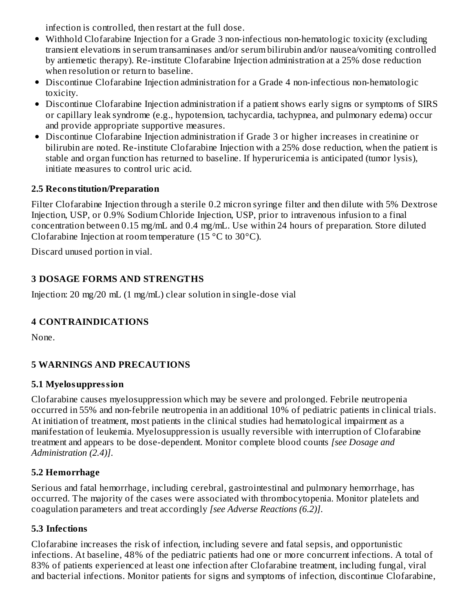infection is controlled, then restart at the full dose.

- Withhold Clofarabine Injection for a Grade 3 non-infectious non-hematologic toxicity (excluding transient elevations in serum transaminases and/or serum bilirubin and/or nausea/vomiting controlled by antiemetic therapy). Re-institute Clofarabine Injection administration at a 25% dose reduction when resolution or return to baseline.
- Discontinue Clofarabine Injection administration for a Grade 4 non-infectious non-hematologic toxicity.
- Discontinue Clofarabine Injection administration if a patient shows early signs or symptoms of SIRS or capillary leak syndrome (e.g., hypotension, tachycardia, tachypnea, and pulmonary edema) occur and provide appropriate supportive measures.
- Discontinue Clofarabine Injection administration if Grade 3 or higher increases in creatinine or bilirubin are noted. Re-institute Clofarabine Injection with a 25% dose reduction, when the patient is stable and organ function has returned to baseline. If hyperuricemia is anticipated (tumor lysis), initiate measures to control uric acid.

## **2.5 Reconstitution/Preparation**

Filter Clofarabine Injection through a sterile 0.2 micron syringe filter and then dilute with 5% Dextrose Injection, USP, or 0.9% Sodium Chloride Injection, USP, prior to intravenous infusion to a final concentration between 0.15 mg/mL and 0.4 mg/mL. Use within 24 hours of preparation. Store diluted Clofarabine Injection at room temperature (15 °C to 30°C).

Discard unused portion in vial.

## **3 DOSAGE FORMS AND STRENGTHS**

Injection: 20 mg/20 mL (1 mg/mL) clear solution in single-dose vial

## **4 CONTRAINDICATIONS**

None.

## **5 WARNINGS AND PRECAUTIONS**

## **5.1 Myelosuppression**

Clofarabine causes myelosuppression which may be severe and prolonged. Febrile neutropenia occurred in 55% and non-febrile neutropenia in an additional 10% of pediatric patients in clinical trials. At initiation of treatment, most patients in the clinical studies had hematological impairment as a manifestation of leukemia. Myelosuppression is usually reversible with interruption of Clofarabine treatment and appears to be dose-dependent. Monitor complete blood counts *[see Dosage and Administration (2.4)]*.

## **5.2 Hemorrhage**

Serious and fatal hemorrhage, including cerebral, gastrointestinal and pulmonary hemorrhage, has occurred. The majority of the cases were associated with thrombocytopenia. Monitor platelets and coagulation parameters and treat accordingly *[see Adverse Reactions (6.2)]*.

## **5.3 Infections**

Clofarabine increases the risk of infection, including severe and fatal sepsis, and opportunistic infections. At baseline, 48% of the pediatric patients had one or more concurrent infections. A total of 83% of patients experienced at least one infection after Clofarabine treatment, including fungal, viral and bacterial infections. Monitor patients for signs and symptoms of infection, discontinue Clofarabine,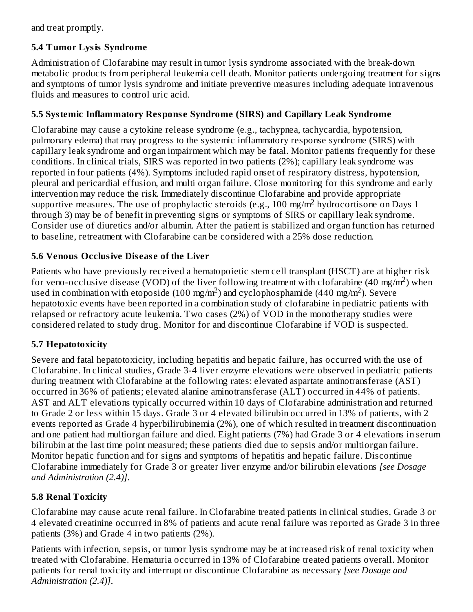and treat promptly.

## **5.4 Tumor Lysis Syndrome**

Administration of Clofarabine may result in tumor lysis syndrome associated with the break-down metabolic products from peripheral leukemia cell death. Monitor patients undergoing treatment for signs and symptoms of tumor lysis syndrome and initiate preventive measures including adequate intravenous fluids and measures to control uric acid.

## **5.5 Systemic Inflammatory Respons e Syndrome (SIRS) and Capillary Leak Syndrome**

Clofarabine may cause a cytokine release syndrome (e.g., tachypnea, tachycardia, hypotension, pulmonary edema) that may progress to the systemic inflammatory response syndrome (SIRS) with capillary leak syndrome and organ impairment which may be fatal. Monitor patients frequently for these conditions. In clinical trials, SIRS was reported in two patients (2%); capillary leak syndrome was reported in four patients (4%). Symptoms included rapid onset of respiratory distress, hypotension, pleural and pericardial effusion, and multi organ failure. Close monitoring for this syndrome and early intervention may reduce the risk. Immediately discontinue Clofarabine and provide appropriate supportive measures. The use of prophylactic steroids (e.g., 100 mg/m<sup>2</sup> hydrocortisone on Days 1 through 3) may be of benefit in preventing signs or symptoms of SIRS or capillary leak syndrome. Consider use of diuretics and/or albumin. After the patient is stabilized and organ function has returned to baseline, retreatment with Clofarabine can be considered with a 25% dose reduction.

## **5.6 Venous Occlusive Dis eas e of the Liver**

Patients who have previously received a hematopoietic stem cell transplant (HSCT) are at higher risk for veno-occlusive disease (VOD) of the liver following treatment with clofarabine (40 mg/m<sup>2</sup>) when used in combination with etoposide (100 mg/m<sup>2</sup>) and cyclophosphamide (440 mg/m<sup>2</sup>). Severe hepatotoxic events have been reported in a combination study of clofarabine in pediatric patients with relapsed or refractory acute leukemia. Two cases (2%) of VOD in the monotherapy studies were considered related to study drug. Monitor for and discontinue Clofarabine if VOD is suspected.

## **5.7 Hepatotoxicity**

Severe and fatal hepatotoxicity, including hepatitis and hepatic failure, has occurred with the use of Clofarabine. In clinical studies, Grade 3-4 liver enzyme elevations were observed in pediatric patients during treatment with Clofarabine at the following rates: elevated aspartate aminotransferase (AST) occurred in 36% of patients; elevated alanine aminotransferase (ALT) occurred in 44% of patients. AST and ALT elevations typically occurred within 10 days of Clofarabine administration and returned to Grade 2 or less within 15 days. Grade 3 or 4 elevated bilirubin occurred in 13% of patients, with 2 events reported as Grade 4 hyperbilirubinemia (2%), one of which resulted in treatment discontinuation and one patient had multiorgan failure and died. Eight patients (7%) had Grade 3 or 4 elevations in serum bilirubin at the last time point measured; these patients died due to sepsis and/or multiorgan failure. Monitor hepatic function and for signs and symptoms of hepatitis and hepatic failure. Discontinue Clofarabine immediately for Grade 3 or greater liver enzyme and/or bilirubin elevations *[see Dosage and Administration (2.4)]*.

## **5.8 Renal Toxicity**

Clofarabine may cause acute renal failure. In Clofarabine treated patients in clinical studies, Grade 3 or 4 elevated creatinine occurred in 8% of patients and acute renal failure was reported as Grade 3 in three patients (3%) and Grade 4 in two patients (2%).

Patients with infection, sepsis, or tumor lysis syndrome may be at increased risk of renal toxicity when treated with Clofarabine. Hematuria occurred in 13% of Clofarabine treated patients overall. Monitor patients for renal toxicity and interrupt or discontinue Clofarabine as necessary *[see Dosage and Administration (2.4)]*.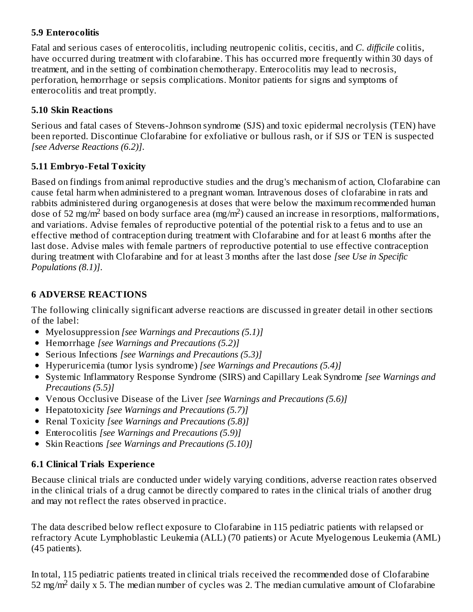### **5.9 Enterocolitis**

Fatal and serious cases of enterocolitis, including neutropenic colitis, cecitis, and *C. difficile* colitis, have occurred during treatment with clofarabine. This has occurred more frequently within 30 days of treatment, and in the setting of combination chemotherapy. Enterocolitis may lead to necrosis, perforation, hemorrhage or sepsis complications. Monitor patients for signs and symptoms of enterocolitis and treat promptly.

### **5.10 Skin Reactions**

Serious and fatal cases of Stevens-Johnson syndrome (SJS) and toxic epidermal necrolysis (TEN) have been reported. Discontinue Clofarabine for exfoliative or bullous rash, or if SJS or TEN is suspected *[see Adverse Reactions (6.2)]*.

## **5.11 Embryo-Fetal Toxicity**

Based on findings from animal reproductive studies and the drug's mechanism of action, Clofarabine can cause fetal harm when administered to a pregnant woman. Intravenous doses of clofarabine in rats and rabbits administered during organogenesis at doses that were below the maximum recommended human dose of 52 mg/m<sup>2</sup> based on body surface area (mg/m<sup>2</sup>) caused an increase in resorptions, malformations, and variations. Advise females of reproductive potential of the potential risk to a fetus and to use an effective method of contraception during treatment with Clofarabine and for at least 6 months after the last dose. Advise males with female partners of reproductive potential to use effective contraception during treatment with Clofarabine and for at least 3 months after the last dose *[see Use in Specific Populations (8.1)]*.

## **6 ADVERSE REACTIONS**

The following clinically significant adverse reactions are discussed in greater detail in other sections of the label:

- Myelosuppression *[see Warnings and Precautions (5.1)]*
- Hemorrhage *[see Warnings and Precautions (5.2)]*
- Serious Infections *[see Warnings and Precautions (5.3)]*
- Hyperuricemia (tumor lysis syndrome) *[see Warnings and Precautions (5.4)]*
- Systemic Inflammatory Response Syndrome (SIRS) and Capillary Leak Syndrome *[see Warnings and Precautions (5.5)]*
- Venous Occlusive Disease of the Liver *[see Warnings and Precautions (5.6)]*
- Hepatotoxicity *[see Warnings and Precautions (5.7)]*
- Renal Toxicity *[see Warnings and Precautions (5.8)]*
- Enterocolitis *[see Warnings and Precautions (5.9)]*
- Skin Reactions *[see Warnings and Precautions (5.10)]*

## **6.1 Clinical Trials Experience**

Because clinical trials are conducted under widely varying conditions, adverse reaction rates observed in the clinical trials of a drug cannot be directly compared to rates in the clinical trials of another drug and may not reflect the rates observed in practice.

The data described below reflect exposure to Clofarabine in 115 pediatric patients with relapsed or refractory Acute Lymphoblastic Leukemia (ALL) (70 patients) or Acute Myelogenous Leukemia (AML) (45 patients).

In total, 115 pediatric patients treated in clinical trials received the recommended dose of Clofarabine 52 mg/m<sup>2</sup> daily x 5. The median number of cycles was 2. The median cumulative amount of Clofarabine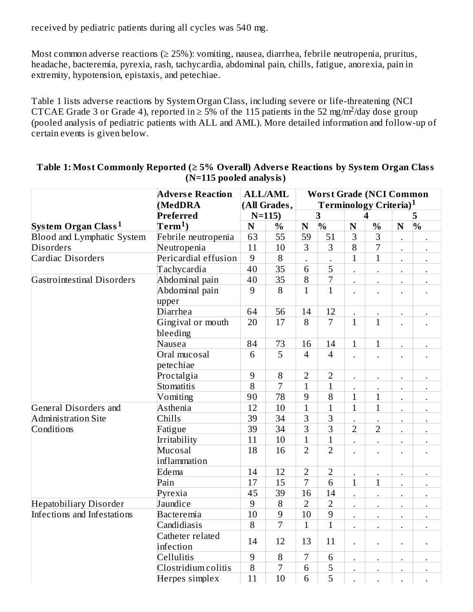received by pediatric patients during all cycles was 540 mg.

Most common adverse reactions ( $\geq$  25%): vomiting, nausea, diarrhea, febrile neutropenia, pruritus, headache, bacteremia, pyrexia, rash, tachycardia, abdominal pain, chills, fatigue, anorexia, pain in extremity, hypotension, epistaxis, and petechiae.

Table 1 lists adverse reactions by System Organ Class, including severe or life-threatening (NCI CTCAE Grade 3 or Grade 4), reported in  $\geq$  5% of the 115 patients in the 52 mg/m<sup>2</sup>/day dose group (pooled analysis of pediatric patients with ALL and AML). More detailed information and follow-up of certain events is given below.

|                                   | <b>Adverse Reaction</b><br>(MedDRA | <b>ALL/AML</b><br>(All Grades,<br>$N=115$ |                 | <b>Worst Grade (NCI Common</b><br>Terminology Criteria) <sup>1</sup> |                |                      |                      |                      |                      |
|-----------------------------------|------------------------------------|-------------------------------------------|-----------------|----------------------------------------------------------------------|----------------|----------------------|----------------------|----------------------|----------------------|
|                                   | Preferred                          |                                           |                 | 3                                                                    |                | 4                    |                      | 5                    |                      |
| System Organ Class <sup>1</sup>   | $\mathrm{Term^{1}}$ )              | ${\bf N}$                                 | $\frac{0}{0}$   | ${\bf N}$                                                            | $\frac{1}{2}$  | $\mathbf N$          | $\frac{0}{0}$        | N                    | $\frac{1}{2}$        |
| <b>Blood and Lymphatic System</b> | 63                                 | 55                                        | 59              | 51                                                                   | 3              | 3                    |                      |                      |                      |
| <b>Disorders</b>                  | Febrile neutropenia<br>Neutropenia | 11                                        | 10              | 3                                                                    | 3              | 8                    | 7                    |                      |                      |
| Cardiac Disorders                 | Pericardial effusion               | 9                                         | $\, 8$          |                                                                      |                | $\mathbf{1}$         | $\mathbf{1}$         |                      |                      |
|                                   | Tachycardia                        | 40                                        | $\overline{35}$ | 6                                                                    | 5              |                      | $\ddot{\phantom{0}}$ |                      | $\ddot{\phantom{0}}$ |
| <b>Gastrointestinal Disorders</b> | Abdominal pain                     | 40                                        | 35              | $\, 8$                                                               | 7              |                      | $\bullet$            | $\ddot{\phantom{0}}$ | $\bullet$            |
|                                   | Abdominal pain                     | 9                                         | 8               | $\mathbf{1}$                                                         | $\mathbf{1}$   |                      |                      |                      |                      |
|                                   | upper                              |                                           |                 |                                                                      |                |                      |                      |                      |                      |
|                                   | Diarrhea                           | 64                                        | 56              | 14                                                                   | 12             |                      |                      |                      |                      |
|                                   | Gingival or mouth<br>bleeding      | 20                                        | 17              | 8                                                                    | $\overline{7}$ | $\mathbf{1}$         | $\mathbf{1}$         |                      |                      |
|                                   | Nausea                             | 84                                        | 73              | 16                                                                   | 14             | $\mathbf{1}$         | $\mathbf{1}$         |                      |                      |
|                                   | Oral mucosal<br>petechiae          | 6                                         | 5               | $\overline{4}$                                                       | $\overline{4}$ |                      |                      |                      |                      |
|                                   | Proctalgia                         | 9                                         | 8               | $\overline{2}$                                                       | $\overline{2}$ |                      |                      |                      |                      |
|                                   | Stomatitis                         | 8                                         | $\overline{7}$  | $\overline{1}$                                                       | $\overline{1}$ |                      |                      |                      |                      |
|                                   | Vomiting                           | 90                                        | 78              | 9                                                                    | 8              | $\overline{1}$       | $\mathbf{1}$         |                      |                      |
| General Disorders and             | Asthenia                           | 12                                        | 10              | $\mathbf{1}$                                                         | $\mathbf{1}$   | $\mathbf{1}$         | $\mathbf{1}$         |                      |                      |
| <b>Administration Site</b>        | Chills                             | 39                                        | 34              | 3                                                                    | 3              |                      |                      |                      |                      |
| Conditions                        | Fatigue                            | 39                                        | 34              | 3                                                                    | $\overline{3}$ | $\overline{2}$       | $\overline{2}$       |                      |                      |
|                                   | Irritability                       | 11                                        | 10              | $\mathbf{1}$                                                         | $\overline{1}$ |                      |                      |                      |                      |
|                                   | Mucosal<br>inflammation            | 18                                        | 16              | $\overline{2}$                                                       | $\overline{2}$ |                      |                      |                      |                      |
|                                   | Edema                              | 14                                        | 12              | $\overline{2}$                                                       | $\overline{2}$ |                      |                      |                      |                      |
|                                   | Pain                               | 17                                        | 15              | 7                                                                    | 6              | $\mathbf{1}$         | $\mathbf{1}$         |                      |                      |
|                                   | Pyrexia                            | 45                                        | 39              | 16                                                                   | 14             | $\ddot{\phantom{0}}$ |                      |                      |                      |
| <b>Hepatobiliary Disorder</b>     | Jaundice                           | 9                                         | $\, 8$          | $\overline{2}$                                                       | $\overline{2}$ | $\ddot{\phantom{0}}$ |                      |                      |                      |
| Infections and Infestations       | <b>Bacteremia</b>                  | 10                                        | 9               | 10                                                                   | 9              | $\ddot{\phantom{a}}$ |                      |                      |                      |
|                                   | Candidiasis                        | 8                                         | $\overline{7}$  | $\mathbf{1}$                                                         | $\mathbf{1}$   |                      |                      |                      |                      |
|                                   | Catheter related<br>infection      | 14                                        | 12              | 13                                                                   | 11             | $\ddot{\phantom{0}}$ |                      | $\ddot{\phantom{0}}$ |                      |
|                                   | Cellulitis                         | 9                                         | $\, 8$          | 7                                                                    | $\,6\,$        |                      |                      |                      |                      |
|                                   | Clostridium colitis                | 8                                         | $\overline{7}$  | 6                                                                    | $\overline{5}$ |                      |                      |                      |                      |
|                                   | Herpes simplex                     | 11                                        | 10              | 6                                                                    | 5              |                      |                      |                      |                      |

#### **Table 1: Most Commonly Reported (≥ 5% Overall) Advers e Reactions by System Organ Class (N=115 pooled analysis)**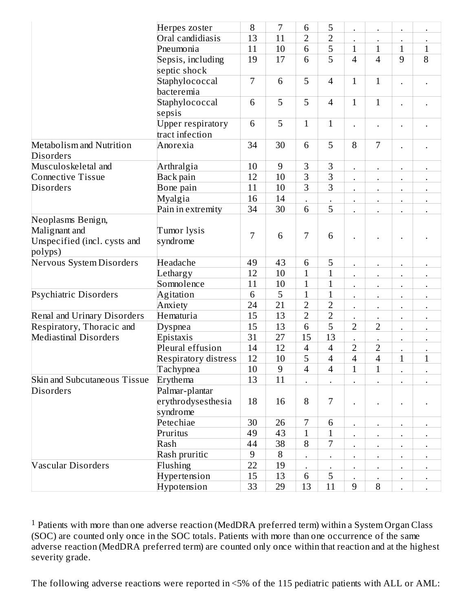|                                                                               | Herpes zoster                               | 8      | 7              | 6                        | 5              |                |                      | $\ddot{\phantom{0}}$   |              |
|-------------------------------------------------------------------------------|---------------------------------------------|--------|----------------|--------------------------|----------------|----------------|----------------------|------------------------|--------------|
|                                                                               | Oral candidiasis                            | 13     | 11             | $\overline{2}$           | $\overline{2}$ |                |                      | $\bullet$              |              |
|                                                                               | Pneumonia                                   |        |                |                          | 5              | $\mathbf{1}$   | $\mathbf{1}$         | $\mathbf{1}$           | $\mathbf{1}$ |
|                                                                               | Sepsis, including                           |        |                | 6                        | 5              | $\overline{4}$ | 4                    | 9                      | 8            |
|                                                                               | septic shock                                |        |                |                          |                |                |                      |                        |              |
|                                                                               | Staphylococcal                              | 7      | 6              | 5                        | $\overline{4}$ | $\mathbf{1}$   | $\mathbf{1}$         |                        |              |
|                                                                               | bacteremia                                  |        |                |                          |                |                |                      |                        |              |
|                                                                               | Staphylococcal<br>sepsis                    | 6      | 5              | 5                        | $\overline{4}$ | $\mathbf{1}$   | $\mathbf{1}$         | $\bullet$              |              |
|                                                                               | <b>Upper respiratory</b><br>tract infection | 6      | 5              | $\overline{1}$           | $\mathbf{1}$   |                |                      |                        |              |
| <b>Metabolism and Nutrition</b>                                               | Anorexia                                    | 34     | 30             | 6                        | 5              | 8              | 7                    |                        |              |
| <b>Disorders</b>                                                              |                                             |        |                |                          |                |                |                      |                        |              |
| Musculoskeletal and                                                           | Arthralgia                                  | 10     | 9              | 3                        | 3              |                |                      | $\ddot{\phantom{0}}$   |              |
| <b>Connective Tissue</b>                                                      | Back pain                                   | 12     | 10             | 3                        | $\overline{3}$ |                | $\ddot{\phantom{0}}$ | $\bullet$              | $\bullet$    |
| <b>Disorders</b>                                                              | Bone pain                                   | 11     | 10             | 3                        | 3              |                |                      | $\bullet$              |              |
|                                                                               | Myalgia                                     | 16     | 14             |                          |                |                |                      |                        |              |
|                                                                               | Pain in extremity                           | 34     | 30             | 6                        | 5              |                |                      |                        |              |
| Neoplasms Benign,<br>Malignant and<br>Unspecified (incl. cysts and<br>polyps) | Tumor lysis<br>syndrome                     | 7      | 6              | 7                        | 6              |                |                      | $\bullet$              |              |
| Nervous System Disorders                                                      | Headache                                    | 49     | 43             | $\,6\,$                  | 5              |                |                      |                        |              |
|                                                                               | Lethargy                                    | 12     | 10             | $\mathbf 1$              | $\mathbf{1}$   |                |                      | $\ddot{\phantom{0}}$   |              |
|                                                                               | Somnolence                                  | 11     | 10             | $\mathbf{1}$             | $\overline{1}$ |                | $\ddot{\phantom{0}}$ | $\ddot{\phantom{0}}$   | $\bullet$    |
| Psychiatric Disorders                                                         | Agitation                                   | 6      | 5              | $\mathbf{1}$             | $\mathbf{1}$   | $\bullet$      | $\bullet$            | $\bullet$              | $\bullet$    |
|                                                                               | Anxiety                                     | 24     | 21             | $\overline{2}$           | $\overline{2}$ |                |                      |                        | ٠            |
| Renal and Urinary Disorders                                                   | Hematuria                                   | 15     | 13             | $\overline{2}$           | $\overline{2}$ |                |                      | $\bullet$              | $\bullet$    |
| Respiratory, Thoracic and                                                     | Dyspnea                                     | 15     | 13             | $\,6\,$                  | 5              | $\overline{2}$ | $\overline{2}$       | $\ddot{\phantom{0}}$   |              |
| <b>Mediastinal Disorders</b>                                                  | Epistaxis                                   | 31     | 27             | 15                       | 13             |                |                      |                        |              |
|                                                                               | Pleural effusion                            | 14     | 12             | $\overline{4}$           | 4              | $\overline{2}$ | 2                    | $\bullet$              |              |
|                                                                               | <b>Respiratory distress</b>                 | 12     | 10             | 5                        | 4              | $\overline{4}$ | $\overline{4}$       | $\mathbf{1}$           | $\mathbf{1}$ |
|                                                                               | Tachypnea                                   | $10\,$ | $\overline{9}$ | $\overline{\mathcal{A}}$ | $\overline{4}$ | 1              | $\overline{1}$       |                        |              |
| <b>Skin and Subcutaneous Tissue</b>                                           | Erythema                                    | 13     | 11             |                          |                |                |                      |                        |              |
| <b>Disorders</b>                                                              | Palmar-plantar                              |        |                |                          |                |                |                      |                        |              |
|                                                                               | erythrodysesthesia<br>syndrome              | 18     | 16             | 8                        | 7              |                |                      |                        |              |
|                                                                               | Petechiae                                   | 30     | 26             | 7                        | 6              |                |                      |                        |              |
|                                                                               | Pruritus                                    | 49     | 43             | $\mathbf{1}$             | $\mathbf{1}$   |                |                      | $\bullet$<br>$\bullet$ |              |
|                                                                               | Rash                                        | 44     | 38             | 8                        | 7              |                |                      | $\bullet$              |              |
|                                                                               | Rash pruritic                               | 9      | 8              | $\bullet$                |                |                | $\bullet$            | $\bullet$              | $\bullet$    |
| <b>Vascular Disorders</b>                                                     | Flushing                                    | 22     | 19             |                          |                |                |                      | $\bullet$              |              |
|                                                                               | Hypertension                                | 15     | 13             | 6                        | 5              |                |                      | $\bullet$              | $\bullet$    |
|                                                                               | Hypotension                                 | 33     | 29             | 13                       | 11             | 9              | 8                    |                        |              |

Patients with more than one adverse reaction (MedDRA preferred term) within a System Organ Class (SOC) are counted only once in the SOC totals. Patients with more than one occurrence of the same adverse reaction (MedDRA preferred term) are counted only once within that reaction and at the highest severity grade. 1

The following adverse reactions were reported in <5% of the 115 pediatric patients with ALL or AML: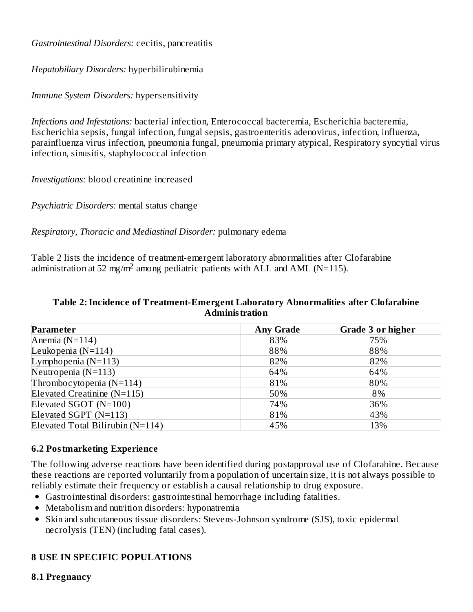*Gastrointestinal Disorders:* cecitis, pancreatitis

*Hepatobiliary Disorders:* hyperbilirubinemia

*Immune System Disorders:* hypersensitivity

*Infections and Infestations:* bacterial infection, Enterococcal bacteremia, Escherichia bacteremia, Escherichia sepsis, fungal infection, fungal sepsis, gastroenteritis adenovirus, infection, influenza, parainfluenza virus infection, pneumonia fungal, pneumonia primary atypical, Respiratory syncytial virus infection, sinusitis, staphylococcal infection

*Investigations:* blood creatinine increased

*Psychiatric Disorders:* mental status change

*Respiratory, Thoracic and Mediastinal Disorder:* pulmonary edema

Table 2 lists the incidence of treatment-emergent laboratory abnormalities after Clofarabine administration at 52 mg/m<sup>2</sup> among pediatric patients with ALL and AML (N=115).

#### **Table 2:Incidence of Treatment-Emergent Laboratory Abnormalities after Clofarabine Administration**

| <b>Parameter</b>                 | <b>Any Grade</b> | Grade 3 or higher |
|----------------------------------|------------------|-------------------|
| Anemia $(N=114)$                 | 83%              | 75%               |
| Leukopenia ( $N=114$ )           | 88%              | 88%               |
| Lymphopenia $(N=113)$            | 82%              | 82%               |
| Neutropenia $(N=113)$            | 64%              | 64%               |
| Thrombocytopenia $(N=114)$       | 81%              | 80%               |
| Elevated Creatinine (N=115)      | 50%              | 8%                |
| Elevated SGOT (N=100)            | 74%              | 36%               |
| Elevated SGPT (N=113)            | 81%              | 43%               |
| Elevated Total Bilirubin (N=114) | 45%              | 13%               |

### **6.2 Postmarketing Experience**

The following adverse reactions have been identified during postapproval use of Clofarabine. Because these reactions are reported voluntarily from a population of uncertain size, it is not always possible to reliably estimate their frequency or establish a causal relationship to drug exposure.

- Gastrointestinal disorders: gastrointestinal hemorrhage including fatalities.
- Metabolism and nutrition disorders: hyponatremia
- Skin and subcutaneous tissue disorders: Stevens-Johnson syndrome (SJS), toxic epidermal necrolysis (TEN) (including fatal cases).

## **8 USE IN SPECIFIC POPULATIONS**

#### **8.1 Pregnancy**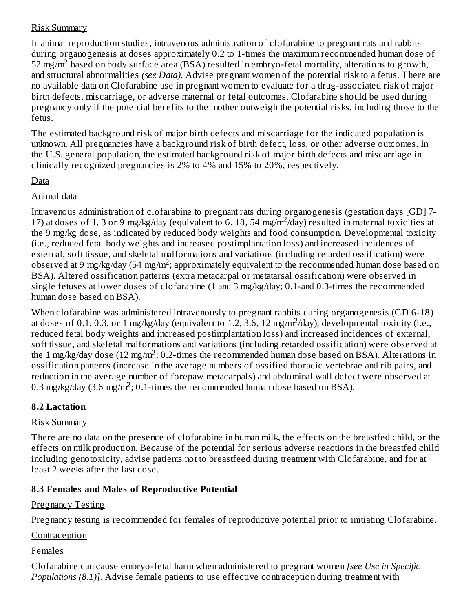### Risk Summary

In animal reproduction studies, intravenous administration of clofarabine to pregnant rats and rabbits during organogenesis at doses approximately 0.2 to 1-times the maximum recommended human dose of 52 mg/m<sup>2</sup> based on body surface area (BSA) resulted in embryo-fetal mortality, alterations to growth, and structural abnormalities *(see Data)*. Advise pregnant women of the potential risk to a fetus. There are no available data on Clofarabine use in pregnant women to evaluate for a drug-associated risk of major birth defects, miscarriage, or adverse maternal or fetal outcomes. Clofarabine should be used during pregnancy only if the potential benefits to the mother outweigh the potential risks, including those to the fetus.

The estimated background risk of major birth defects and miscarriage for the indicated population is unknown. All pregnancies have a background risk of birth defect, loss, or other adverse outcomes. In the U.S. general population, the estimated background risk of major birth defects and miscarriage in clinically recognized pregnancies is 2% to 4% and 15% to 20%, respectively.

### Data

Animal data

Intravenous administration of clofarabine to pregnant rats during organogenesis (gestation days [GD] 7- 17) at doses of 1, 3 or 9 mg/kg/day (equivalent to 6, 18, 54 mg/m<sup>2</sup>/day) resulted in maternal toxicities at the 9 mg/kg dose, as indicated by reduced body weights and food consumption. Developmental toxicity (i.e., reduced fetal body weights and increased postimplantation loss) and increased incidences of external, soft tissue, and skeletal malformations and variations (including retarded ossification) were observed at 9 mg/kg/day (54 mg/m<sup>2</sup>; approximately equivalent to the recommended human dose based on BSA). Altered ossification patterns (extra metacarpal or metatarsal ossification) were observed in single fetuses at lower doses of clofarabine (1 and 3 mg/kg/day; 0.1-and 0.3-times the recommended human dose based on BSA).

When clofarabine was administered intravenously to pregnant rabbits during organogenesis (GD 6-18) at doses of 0.1, 0.3, or 1 mg/kg/day (equivalent to 1.2, 3.6, 12 mg/m<sup>2</sup>/day), developmental toxicity (i.e., reduced fetal body weights and increased postimplantation loss) and increased incidences of external, soft tissue, and skeletal malformations and variations (including retarded ossification) were observed at the 1 mg/kg/day dose (12 mg/m<sup>2</sup>; 0.2-times the recommended human dose based on BSA). Alterations in ossification patterns (increase in the average numbers of ossified thoracic vertebrae and rib pairs, and reduction in the average number of forepaw metacarpals) and abdominal wall defect were observed at 0.3 mg/kg/day (3.6 mg/m<sup>2</sup>; 0.1-times the recommended human dose based on BSA).

## **8.2 Lactation**

## Risk Summary

There are no data on the presence of clofarabine in human milk, the effects on the breastfed child, or the effects on milk production. Because of the potential for serious adverse reactions in the breastfed child including genotoxicity, advise patients not to breastfeed during treatment with Clofarabine, and for at least 2 weeks after the last dose.

## **8.3 Females and Males of Reproductive Potential**

## Pregnancy Testing

Pregnancy testing is recommended for females of reproductive potential prior to initiating Clofarabine.

## **Contraception**

## Females

Clofarabine can cause embryo-fetal harm when administered to pregnant women *[see Use in Specific Populations (8.1)]*. Advise female patients to use effective contraception during treatment with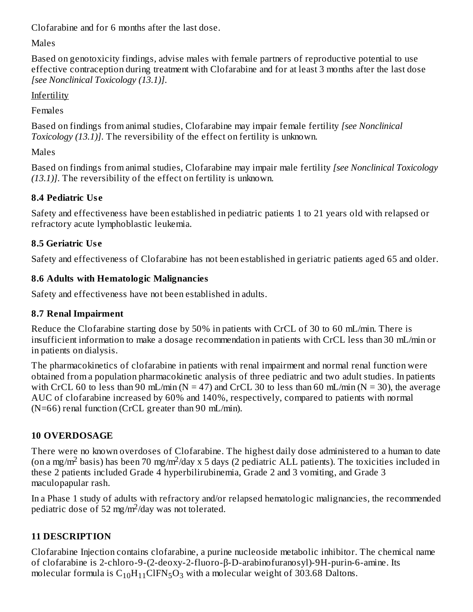Clofarabine and for 6 months after the last dose.

Males

Based on genotoxicity findings, advise males with female partners of reproductive potential to use effective contraception during treatment with Clofarabine and for at least 3 months after the last dose *[see Nonclinical Toxicology (13.1)]*.

Infertility

Females

Based on findings from animal studies, Clofarabine may impair female fertility *[see Nonclinical Toxicology (13.1)]*. The reversibility of the effect on fertility is unknown.

Males

Based on findings from animal studies, Clofarabine may impair male fertility *[see Nonclinical Toxicology (13.1)]*. The reversibility of the effect on fertility is unknown.

## **8.4 Pediatric Us e**

Safety and effectiveness have been established in pediatric patients 1 to 21 years old with relapsed or refractory acute lymphoblastic leukemia.

## **8.5 Geriatric Us e**

Safety and effectiveness of Clofarabine has not been established in geriatric patients aged 65 and older.

## **8.6 Adults with Hematologic Malignancies**

Safety and effectiveness have not been established in adults.

## **8.7 Renal Impairment**

Reduce the Clofarabine starting dose by 50% in patients with CrCL of 30 to 60 mL/min. There is insufficient information to make a dosage recommendation in patients with CrCL less than 30 mL/min or in patients on dialysis.

The pharmacokinetics of clofarabine in patients with renal impairment and normal renal function were obtained from a population pharmacokinetic analysis of three pediatric and two adult studies. In patients with CrCL 60 to less than 90 mL/min ( $N = 47$ ) and CrCL 30 to less than 60 mL/min ( $N = 30$ ), the average AUC of clofarabine increased by 60% and 140%, respectively, compared to patients with normal (N=66) renal function (CrCL greater than 90 mL/min).

## **10 OVERDOSAGE**

There were no known overdoses of Clofarabine. The highest daily dose administered to a human to date (on a mg/m<sup>2</sup> basis) has been 70 mg/m<sup>2</sup>/day x 5 days (2 pediatric ALL patients). The toxicities included in these 2 patients included Grade 4 hyperbilirubinemia, Grade 2 and 3 vomiting, and Grade 3 maculopapular rash.

In a Phase 1 study of adults with refractory and/or relapsed hematologic malignancies, the recommended pediatric dose of 52 mg/m<sup>2</sup>/day was not tolerated.

## **11 DESCRIPTION**

Clofarabine Injection contains clofarabine, a purine nucleoside metabolic inhibitor. The chemical name of clofarabine is 2-chloro-9-(2-deoxy-2-fluoro-β-D-arabinofuranosyl)-9H-purin-6-amine. Its molecular formula is  $\rm C_{10}H_{11}CIFN_5O_3$  with a molecular weight of 303.68 Daltons.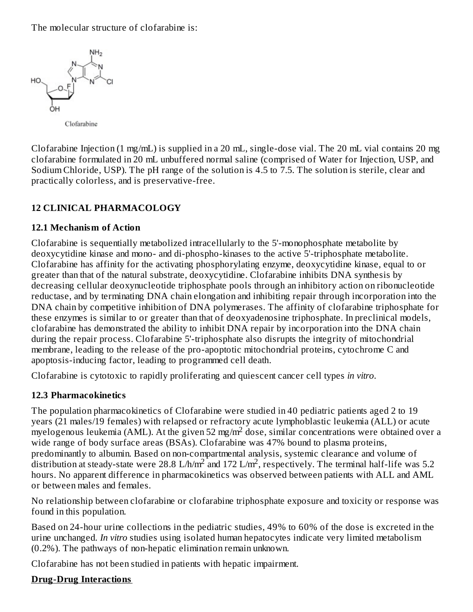The molecular structure of clofarabine is:



Clofarabine

Clofarabine Injection (1 mg/mL) is supplied in a 20 mL, single-dose vial. The 20 mL vial contains 20 mg clofarabine formulated in 20 mL unbuffered normal saline (comprised of Water for Injection, USP, and Sodium Chloride, USP). The pH range of the solution is 4.5 to 7.5. The solution is sterile, clear and practically colorless, and is preservative-free.

### **12 CLINICAL PHARMACOLOGY**

#### **12.1 Mechanism of Action**

Clofarabine is sequentially metabolized intracellularly to the 5'-monophosphate metabolite by deoxycytidine kinase and mono- and di-phospho-kinases to the active 5'-triphosphate metabolite. Clofarabine has affinity for the activating phosphorylating enzyme, deoxycytidine kinase, equal to or greater than that of the natural substrate, deoxycytidine. Clofarabine inhibits DNA synthesis by decreasing cellular deoxynucleotide triphosphate pools through an inhibitory action on ribonucleotide reductase, and by terminating DNA chain elongation and inhibiting repair through incorporation into the DNA chain by competitive inhibition of DNA polymerases. The affinity of clofarabine triphosphate for these enzymes is similar to or greater than that of deoxyadenosine triphosphate. In preclinical models, clofarabine has demonstrated the ability to inhibit DNA repair by incorporation into the DNA chain during the repair process. Clofarabine 5'-triphosphate also disrupts the integrity of mitochondrial membrane, leading to the release of the pro-apoptotic mitochondrial proteins, cytochrome C and apoptosis-inducing factor, leading to programmed cell death.

Clofarabine is cytotoxic to rapidly proliferating and quiescent cancer cell types *in vitro*.

#### **12.3 Pharmacokinetics**

The population pharmacokinetics of Clofarabine were studied in 40 pediatric patients aged 2 to 19 years (21 males/19 females) with relapsed or refractory acute lymphoblastic leukemia (ALL) or acute myelogenous leukemia (AML). At the given 52 mg/m<sup>2</sup> dose, similar concentrations were obtained over a wide range of body surface areas (BSAs). Clofarabine was 47% bound to plasma proteins, predominantly to albumin. Based on non-compartmental analysis, systemic clearance and volume of distribution at steady-state were 28.8 L/h/m<sup>2</sup> and 172 L/m<sup>2</sup>, respectively. The terminal half-life was 5.2 hours. No apparent difference in pharmacokinetics was observed between patients with ALL and AML or between males and females.

No relationship between clofarabine or clofarabine triphosphate exposure and toxicity or response was found in this population.

Based on 24-hour urine collections in the pediatric studies, 49% to 60% of the dose is excreted in the urine unchanged*. In vitro* studies using isolated human hepatocytes indicate very limited metabolism (0.2%). The pathways of non-hepatic elimination remain unknown.

Clofarabine has not been studied in patients with hepatic impairment.

#### **Drug-Drug Interactions**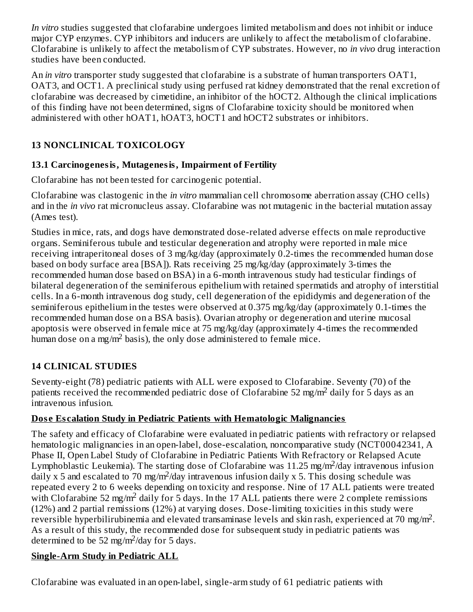*In vitro* studies suggested that clofarabine undergoes limited metabolism and does not inhibit or induce major CYP enzymes. CYP inhibitors and inducers are unlikely to affect the metabolism of clofarabine. Clofarabine is unlikely to affect the metabolism of CYP substrates. However, no *in vivo* drug interaction studies have been conducted.

An *in vitro* transporter study suggested that clofarabine is a substrate of human transporters OAT1, OAT3, and OCT1. A preclinical study using perfused rat kidney demonstrated that the renal excretion of clofarabine was decreased by cimetidine, an inhibitor of the hOCT2. Although the clinical implications of this finding have not been determined, signs of Clofarabine toxicity should be monitored when administered with other hOAT1, hOAT3, hOCT1 and hOCT2 substrates or inhibitors.

## **13 NONCLINICAL TOXICOLOGY**

## **13.1 Carcinogenesis, Mutagenesis, Impairment of Fertility**

Clofarabine has not been tested for carcinogenic potential.

Clofarabine was clastogenic in the *in vitro* mammalian cell chromosome aberration assay (CHO cells) and in the *in vivo* rat micronucleus assay. Clofarabine was not mutagenic in the bacterial mutation assay (Ames test).

Studies in mice, rats, and dogs have demonstrated dose-related adverse effects on male reproductive organs. Seminiferous tubule and testicular degeneration and atrophy were reported in male mice receiving intraperitoneal doses of 3 mg/kg/day (approximately 0.2-times the recommended human dose based on body surface area [BSA]). Rats receiving 25 mg/kg/day (approximately 3-times the recommended human dose based on BSA) in a 6-month intravenous study had testicular findings of bilateral degeneration of the seminiferous epithelium with retained spermatids and atrophy of interstitial cells. In a 6-month intravenous dog study, cell degeneration of the epididymis and degeneration of the seminiferous epithelium in the testes were observed at 0.375 mg/kg/day (approximately 0.1-times the recommended human dose on a BSA basis). Ovarian atrophy or degeneration and uterine mucosal apoptosis were observed in female mice at 75 mg/kg/day (approximately 4-times the recommended human dose on a mg/m<sup>2</sup> basis), the only dose administered to female mice.

## **14 CLINICAL STUDIES**

Seventy-eight (78) pediatric patients with ALL were exposed to Clofarabine. Seventy (70) of the patients received the recommended pediatric dose of Clofarabine 52 mg/m<sup>2</sup> daily for 5 days as an intravenous infusion.

## **Dos e Es calation Study in Pediatric Patients with Hematologic Malignancies**

The safety and efficacy of Clofarabine were evaluated in pediatric patients with refractory or relapsed hematologic malignancies in an open-label, dose-escalation, noncomparative study (NCT00042341, A Phase II, Open Label Study of Clofarabine in Pediatric Patients With Refractory or Relapsed Acute Lymphoblastic Leukemia). The starting dose of Clofarabine was 11.25 mg/m<sup>2</sup>/day intravenous infusion daily x 5 and escalated to 70 mg/m<sup>2</sup>/day intravenous infusion daily x 5. This dosing schedule was repeated every 2 to 6 weeks depending on toxicity and response. Nine of 17 ALL patients were treated with Clofarabine 52 mg/m<sup>2</sup> daily for 5 days. In the 17 ALL patients there were 2 complete remissions (12%) and 2 partial remissions (12%) at varying doses. Dose-limiting toxicities in this study were reversible hyperbilirubinemia and elevated transaminase levels and skin rash, experienced at 70 mg/m<sup>2</sup>. As a result of this study, the recommended dose for subsequent study in pediatric patients was determined to be 52 mg/m<sup>2</sup>/day for 5 days.

## **Single-Arm Study in Pediatric ALL**

Clofarabine was evaluated in an open-label, single-arm study of 61 pediatric patients with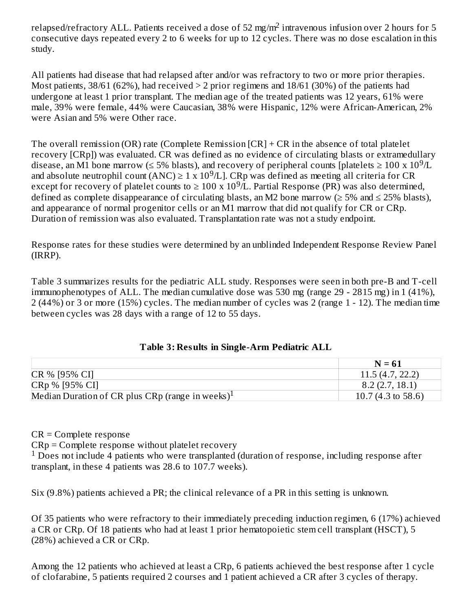relapsed/refractory ALL. Patients received a dose of 52 mg/m $^2$  intravenous infusion over 2 hours for 5 consecutive days repeated every 2 to 6 weeks for up to 12 cycles. There was no dose escalation in this study.

All patients had disease that had relapsed after and/or was refractory to two or more prior therapies. Most patients,  $38/61$  (62%), had received  $> 2$  prior regimens and  $18/61$  (30%) of the patients had undergone at least 1 prior transplant. The median age of the treated patients was 12 years, 61% were male, 39% were female, 44% were Caucasian, 38% were Hispanic, 12% were African-American, 2% were Asian and 5% were Other race.

The overall remission (OR) rate (Complete Remission [CR] + CR in the absence of total platelet recovery [CRp]) was evaluated. CR was defined as no evidence of circulating blasts or extramedullary disease, an M1 bone marrow (≤ 5% blasts), and recovery of peripheral counts [platelets ≥ 100 x 10<sup>9</sup>/L and absolute neutrophil count  $(ANC) \ge 1 \times 10^9/L$ . CRp was defined as meeting all criteria for CR except for recovery of platelet counts to  $\geq 100 \text{ x } 10^9/\text{L}$ . Partial Response (PR) was also determined, defined as complete disappearance of circulating blasts, an M2 bone marrow ( $\geq$  5% and  $\leq$  25% blasts), and appearance of normal progenitor cells or an M1 marrow that did not qualify for CR or CRp. Duration of remission was also evaluated. Transplantation rate was not a study endpoint.

Response rates for these studies were determined by an unblinded Independent Response Review Panel (IRRP).

Table 3 summarizes results for the pediatric ALL study. Responses were seen in both pre-B and T-cell immunophenotypes of ALL. The median cumulative dose was 530 mg (range 29 - 2815 mg) in 1 (41%), 2 (44%) or 3 or more (15%) cycles. The median number of cycles was 2 (range 1 - 12). The median time between cycles was 28 days with a range of 12 to 55 days.

|  | <b>Table 3: Results in Single-Arm Pediatric ALL</b> |
|--|-----------------------------------------------------|
|--|-----------------------------------------------------|

|                                                              | $N = 61$           |
|--------------------------------------------------------------|--------------------|
| CR % [95% CI]                                                | 11.5(4.7, 22.2)    |
| CRp % [95% CI]                                               | 8.2(2.7, 18.1)     |
| Median Duration of CR plus CRp (range in weeks) <sup>1</sup> | 10.7 (4.3 to 58.6) |

CR = Complete response

CRp = Complete response without platelet recovery  $1$  Does not include 4 patients who were transplanted (duration of response, including response after transplant, in these 4 patients was 28.6 to 107.7 weeks).

Six (9.8%) patients achieved a PR; the clinical relevance of a PR in this setting is unknown.

Of 35 patients who were refractory to their immediately preceding induction regimen, 6 (17%) achieved a CR or CRp. Of 18 patients who had at least 1 prior hematopoietic stem cell transplant (HSCT), 5 (28%) achieved a CR or CRp.

Among the 12 patients who achieved at least a CRp, 6 patients achieved the best response after 1 cycle of clofarabine, 5 patients required 2 courses and 1 patient achieved a CR after 3 cycles of therapy.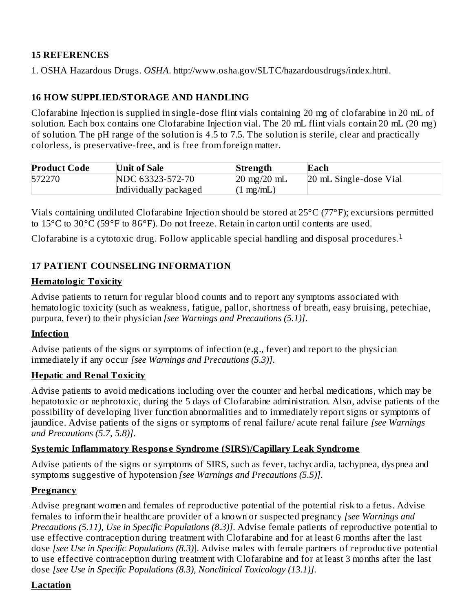### **15 REFERENCES**

1. OSHA Hazardous Drugs. *OSHA*. http://www.osha.gov/SLTC/hazardousdrugs/index.html.

### **16 HOW SUPPLIED/STORAGE AND HANDLING**

Clofarabine Injection is supplied in single-dose flint vials containing 20 mg of clofarabine in 20 mL of solution. Each box contains one Clofarabine Injection vial. The 20 mL flint vials contain 20 mL (20 mg) of solution. The pH range of the solution is 4.5 to 7.5. The solution is sterile, clear and practically colorless, is preservative-free, and is free from foreign matter.

| <b>Product Code</b> | <b>Unit of Sale</b>   | Strength                      | Each                   |
|---------------------|-----------------------|-------------------------------|------------------------|
| 572270              | NDC 63323-572-70      | $20 \text{ mg}/20 \text{ mL}$ | 20 mL Single-dose Vial |
|                     | Individually packaged | $(1 \text{ mg/mL})$           |                        |

Vials containing undiluted Clofarabine Injection should be stored at 25°C (77°F); excursions permitted to 15°C to 30°C (59°F to 86°F). Do not freeze. Retain in carton until contents are used.

Clofarabine is a cytotoxic drug. Follow applicable special handling and disposal procedures.<sup>1</sup>

### **17 PATIENT COUNSELING INFORMATION**

#### **Hematologic Toxicity**

Advise patients to return for regular blood counts and to report any symptoms associated with hematologic toxicity (such as weakness, fatigue, pallor, shortness of breath, easy bruising, petechiae, purpura, fever) to their physician *[see Warnings and Precautions (5.1)]*.

### **Infection**

Advise patients of the signs or symptoms of infection (e.g., fever) and report to the physician immediately if any occur *[see Warnings and Precautions (5.3)]*.

#### **Hepatic and Renal Toxicity**

Advise patients to avoid medications including over the counter and herbal medications, which may be hepatotoxic or nephrotoxic, during the 5 days of Clofarabine administration. Also, advise patients of the possibility of developing liver function abnormalities and to immediately report signs or symptoms of jaundice. Advise patients of the signs or symptoms of renal failure/ acute renal failure *[see Warnings and Precautions (5.7, 5.8)]*.

### **Systemic Inflammatory Respons e Syndrome (SIRS)/Capillary Leak Syndrome**

Advise patients of the signs or symptoms of SIRS, such as fever, tachycardia, tachypnea, dyspnea and symptoms suggestive of hypotension *[see Warnings and Precautions (5.5)]*.

### **Pregnancy**

Advise pregnant women and females of reproductive potential of the potential risk to a fetus. Advise females to inform their healthcare provider of a known or suspected pregnancy *[see Warnings and Precautions (5.11), Use in Specific Populations (8.3)]*. Advise female patients of reproductive potential to use effective contraception during treatment with Clofarabine and for at least 6 months after the last dose *[see Use in Specific Populations (8.3)*]. Advise males with female partners of reproductive potential to use effective contraception during treatment with Clofarabine and for at least 3 months after the last dose *[see Use in Specific Populations (8.3), Nonclinical Toxicology (13.1)]*.

### **Lactation**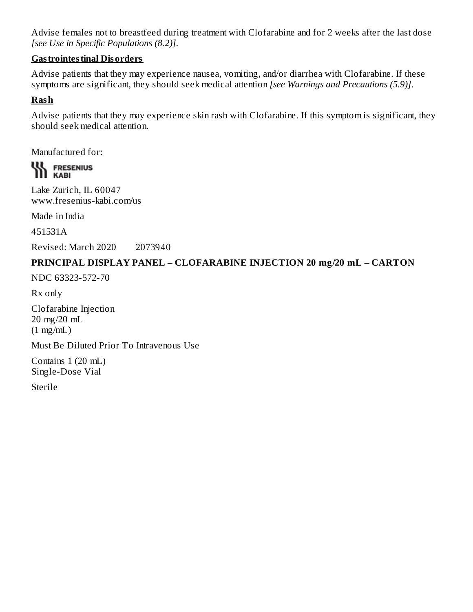Advise females not to breastfeed during treatment with Clofarabine and for 2 weeks after the last dose *[see Use in Specific Populations (8.2)]*.

### **Gastrointestinal Disorders**

Advise patients that they may experience nausea, vomiting, and/or diarrhea with Clofarabine. If these symptoms are significant, they should seek medical attention *[see Warnings and Precautions (5.9)]*.

### **Rash**

Advise patients that they may experience skin rash with Clofarabine. If this symptom is significant, they should seek medical attention.

Manufactured for:

**WE FRESENIUS** 

Lake Zurich, IL 60047 www.fresenius-kabi.com/us

Made in India

451531A

Revised: March 2020 2073940

#### **PRINCIPAL DISPLAY PANEL – CLOFARABINE INJECTION 20 mg/20 mL – CARTON**

NDC 63323-572-70

Rx only

Clofarabine Injection 20 mg/20 mL (1 mg/mL)

Must Be Diluted Prior To Intravenous Use

Contains 1 (20 mL) Single-Dose Vial

Sterile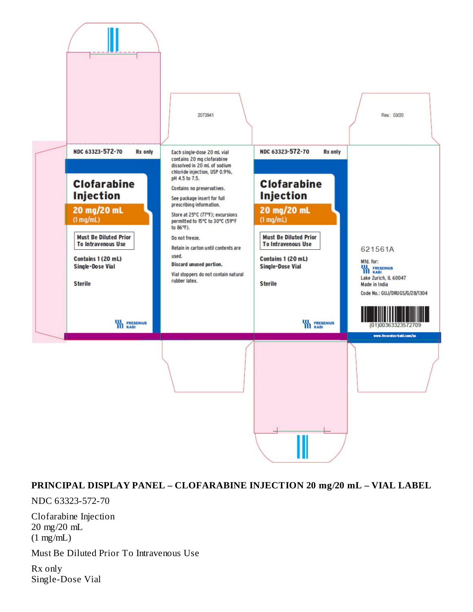

#### **PRINCIPAL DISPLAY PANEL – CLOFARABINE INJECTION 20 mg/20 mL – VIAL LABEL**

NDC 63323-572-70

Clofarabine Injection 20 mg/20 mL (1 mg/mL)

Must Be Diluted Prior To Intravenous Use

Rx only Single-Dose Vial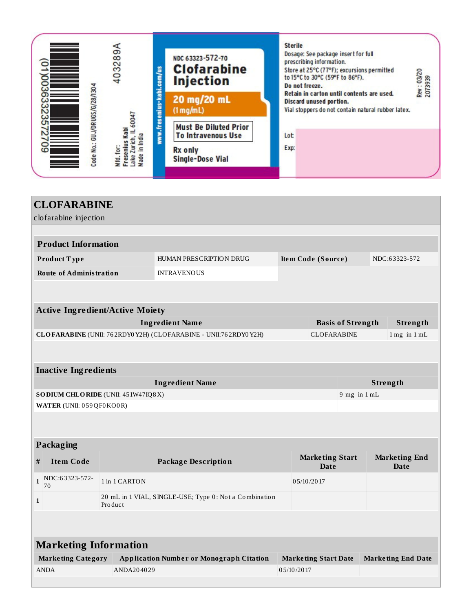

|                                                        | <b>CLOFARABINE</b>             |                                        |                                                                |                                     |                                |                          |          |                              |
|--------------------------------------------------------|--------------------------------|----------------------------------------|----------------------------------------------------------------|-------------------------------------|--------------------------------|--------------------------|----------|------------------------------|
|                                                        | clofarabine injection          |                                        |                                                                |                                     |                                |                          |          |                              |
|                                                        | <b>Product Information</b>     |                                        |                                                                |                                     |                                |                          |          |                              |
|                                                        |                                |                                        |                                                                |                                     |                                |                          |          |                              |
|                                                        | Product Type                   |                                        | HUMAN PRESCRIPTION DRUG                                        | NDC:63323-572<br>Item Code (Source) |                                |                          |          |                              |
|                                                        | <b>Route of Administration</b> |                                        | <b>INTRAVENOUS</b>                                             |                                     |                                |                          |          |                              |
|                                                        |                                |                                        |                                                                |                                     |                                |                          |          |                              |
|                                                        |                                | <b>Active Ingredient/Active Moiety</b> |                                                                |                                     |                                |                          |          |                              |
|                                                        |                                |                                        | <b>Ingredient Name</b>                                         |                                     |                                | <b>Basis of Strength</b> |          | Strength                     |
|                                                        |                                |                                        | CLOFARABINE (UNII: 762RDY0Y2H) (CLOFARABINE - UNII:762RDY0Y2H) |                                     | <b>CLOFARABINE</b>             |                          |          | $1$ mg in $1$ mL             |
|                                                        |                                |                                        |                                                                |                                     |                                |                          |          |                              |
|                                                        | <b>Inactive Ingredients</b>    |                                        |                                                                |                                     |                                |                          |          |                              |
|                                                        |                                |                                        | <b>Ingredient Name</b>                                         |                                     |                                |                          | Strength |                              |
| SODIUM CHLORIDE (UNII: 451W47IQ8X)<br>$9$ mg in $1$ mL |                                |                                        |                                                                |                                     |                                |                          |          |                              |
| WATER (UNII: 059QF0KO0R)                               |                                |                                        |                                                                |                                     |                                |                          |          |                              |
|                                                        |                                |                                        |                                                                |                                     |                                |                          |          |                              |
|                                                        |                                |                                        |                                                                |                                     |                                |                          |          |                              |
|                                                        | Packaging                      |                                        |                                                                |                                     |                                |                          |          |                              |
| #                                                      | <b>Item Code</b>               |                                        | <b>Package Description</b>                                     |                                     | <b>Marketing Start</b><br>Date |                          |          | <b>Marketing End</b><br>Date |
| $\mathbf{1}$                                           | NDC:63323-572-<br>70           | 1 in 1 CARTON                          |                                                                |                                     | 05/10/2017                     |                          |          |                              |
| $\mathbf{1}$                                           |                                | Product                                | 20 mL in 1 VIAL, SINGLE-USE; Type 0: Not a Combination         |                                     |                                |                          |          |                              |
|                                                        |                                |                                        |                                                                |                                     |                                |                          |          |                              |
|                                                        |                                |                                        |                                                                |                                     |                                |                          |          |                              |
|                                                        | <b>Marketing Information</b>   |                                        |                                                                |                                     |                                |                          |          |                              |
|                                                        | <b>Marketing Category</b>      |                                        | <b>Application Number or Monograph Citation</b>                |                                     | <b>Marketing Start Date</b>    |                          |          | <b>Marketing End Date</b>    |
|                                                        | <b>ANDA</b>                    | ANDA204029                             |                                                                | 05/10/2017                          |                                |                          |          |                              |
|                                                        |                                |                                        |                                                                |                                     |                                |                          |          |                              |